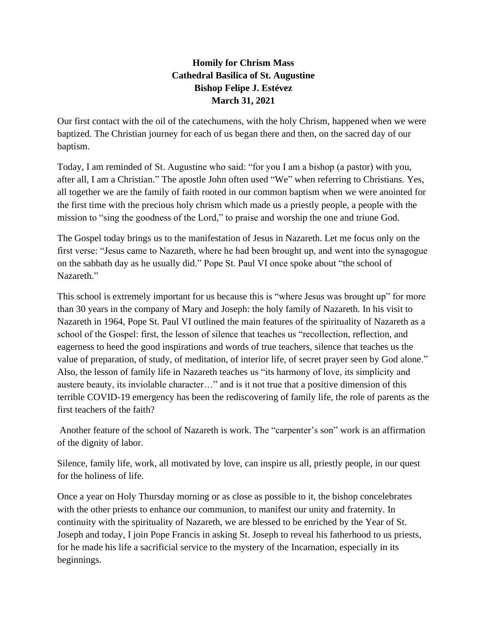## **Homily for Chrism Mass Cathedral Basilica of St. Augustine Bishop Felipe J. Estévez March 31, 2021**

Our first contact with the oil of the catechumens, with the holy Chrism, happened when we were baptized. The Christian journey for each of us began there and then, on the sacred day of our baptism.

Today, I am reminded of St. Augustine who said: "for you I am a bishop (a pastor) with you, after all, I am a Christian." The apostle John often used "We" when referring to Christians. Yes, all together we are the family of faith rooted in our common baptism when we were anointed for the first time with the precious holy chrism which made us a priestly people, a people with the mission to "sing the goodness of the Lord," to praise and worship the one and triune God.

The Gospel today brings us to the manifestation of Jesus in Nazareth. Let me focus only on the first verse: "Jesus came to Nazareth, where he had been brought up, and went into the synagogue on the sabbath day as he usually did." Pope St. Paul VI once spoke about "the school of Nazareth."

This school is extremely important for us because this is "where Jesus was brought up" for more than 30 years in the company of Mary and Joseph: the holy family of Nazareth. In his visit to Nazareth in 1964, Pope St. Paul VI outlined the main features of the spirituality of Nazareth as a school of the Gospel: first, the lesson of silence that teaches us "recollection, reflection, and eagerness to heed the good inspirations and words of true teachers, silence that teaches us the value of preparation, of study, of meditation, of interior life, of secret prayer seen by God alone." Also, the lesson of family life in Nazareth teaches us "its harmony of love, its simplicity and austere beauty, its inviolable character…" and is it not true that a positive dimension of this terrible COVID-19 emergency has been the rediscovering of family life, the role of parents as the first teachers of the faith?

Another feature of the school of Nazareth is work. The "carpenter's son" work is an affirmation of the dignity of labor.

Silence, family life, work, all motivated by love, can inspire us all, priestly people, in our quest for the holiness of life.

Once a year on Holy Thursday morning or as close as possible to it, the bishop concelebrates with the other priests to enhance our communion, to manifest our unity and fraternity. In continuity with the spirituality of Nazareth, we are blessed to be enriched by the Year of St. Joseph and today, I join Pope Francis in asking St. Joseph to reveal his fatherhood to us priests, for he made his life a sacrificial service to the mystery of the Incarnation, especially in its beginnings.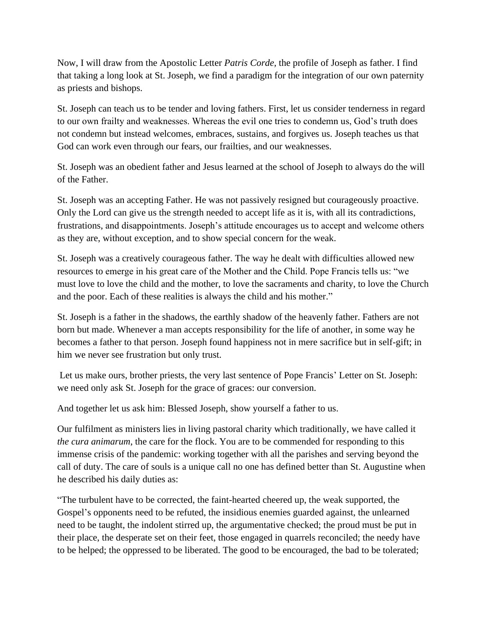Now, I will draw from the Apostolic Letter *Patris Corde,* the profile of Joseph as father. I find that taking a long look at St. Joseph, we find a paradigm for the integration of our own paternity as priests and bishops.

St. Joseph can teach us to be tender and loving fathers. First, let us consider tenderness in regard to our own frailty and weaknesses. Whereas the evil one tries to condemn us, God's truth does not condemn but instead welcomes, embraces, sustains, and forgives us. Joseph teaches us that God can work even through our fears, our frailties, and our weaknesses.

St. Joseph was an obedient father and Jesus learned at the school of Joseph to always do the will of the Father.

St. Joseph was an accepting Father. He was not passively resigned but courageously proactive. Only the Lord can give us the strength needed to accept life as it is, with all its contradictions, frustrations, and disappointments. Joseph's attitude encourages us to accept and welcome others as they are, without exception, and to show special concern for the weak.

St. Joseph was a creatively courageous father. The way he dealt with difficulties allowed new resources to emerge in his great care of the Mother and the Child. Pope Francis tells us: "we must love to love the child and the mother, to love the sacraments and charity, to love the Church and the poor. Each of these realities is always the child and his mother."

St. Joseph is a father in the shadows, the earthly shadow of the heavenly father. Fathers are not born but made. Whenever a man accepts responsibility for the life of another, in some way he becomes a father to that person. Joseph found happiness not in mere sacrifice but in self-gift; in him we never see frustration but only trust.

Let us make ours, brother priests, the very last sentence of Pope Francis' Letter on St. Joseph: we need only ask St. Joseph for the grace of graces: our conversion.

And together let us ask him: Blessed Joseph, show yourself a father to us.

Our fulfilment as ministers lies in living pastoral charity which traditionally, we have called it *the cura animarum*, the care for the flock. You are to be commended for responding to this immense crisis of the pandemic: working together with all the parishes and serving beyond the call of duty. The care of souls is a unique call no one has defined better than St. Augustine when he described his daily duties as:

"The turbulent have to be corrected, the faint-hearted cheered up, the weak supported, the Gospel's opponents need to be refuted, the insidious enemies guarded against, the unlearned need to be taught, the indolent stirred up, the argumentative checked; the proud must be put in their place, the desperate set on their feet, those engaged in quarrels reconciled; the needy have to be helped; the oppressed to be liberated. The good to be encouraged, the bad to be tolerated;